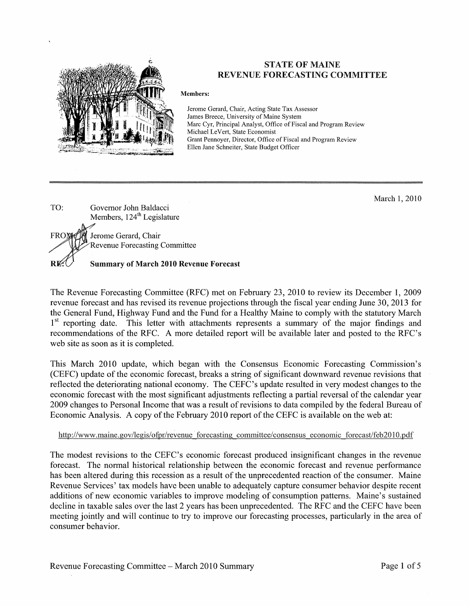

### **STATE OF MAINE REVENUE FORECASTING COMMITTEE**

#### **Members:**

Jerome Gerard, Chair, Acting State Tax Assessor James Breece, University of Maine System Marc Cyr, Principal Analyst, Office of Fiscal and Program Review Michael LeVert, State Economist Grant Pennoyer, Director, Office of Fiscal and Program Review Ellen Jane Schneiter, State Budget Officer

March 1, 2010

TO: Governor John Baldacci Members, 124<sup>th</sup> Legislature Jerome Gerard, Chair FROM **Revenue Forecasting Committee** RK **Summary of March 2010 Revenue Forecast** 

The Revenue Forecasting Committee (RFC) met on February 23, 2010 to review its December 1, 2009 revenue forecast and has revised its revenue projections through the fiscal year ending June 30, 2013 for the General Fund, Highway Fund and the Fund for a Healthy Maine to comply with the statutory March 1<sup>st</sup> reporting date. This letter with attachments represents a summary of the major findings and recommendations of the RFC. A more detailed report will be available later and posted to the RFC's web site as soon as it is completed.

This March 2010 update, which began with the Consensus Economic Forecasting Commission's (CEFC) update of the economic forecast, breaks a string of significant downward revenue revisions that reflected the deteriorating national economy. The CEFC's update resulted in very modest changes to the economic forecast with the most significant adjustments reflecting a partial reversal of the calendar year 2009 changes to Personal Income that was a result of revisions to data compiled by the federal Bureau of Economic Analysis. A copy of the February 2010 report of the CEFC is available on the web at:

### http://www.maine.gov/legis/ofpr/revenue forecasting committee/consensus economic forecast/feb2010.pdf

The modest revisions to the CEFC's economic forecast produced insignificant changes in the revenue forecast. The normal historical relationship between the economic forecast and revenue performance has been altered during this recession as a result of the unprecedented reaction of the consumer. Maine Revenue Services' tax models have been unable to adequately capture consumer behavior despite recent additions of new economic variables to improve modeling of consumption patterns. Maine's sustained decline in taxable sales over the last 2 years has been unprecedented. The RFC and the CEFC have been meeting jointly and will continue to try to improve our forecasting processes, particularly in the area of consumer behavior.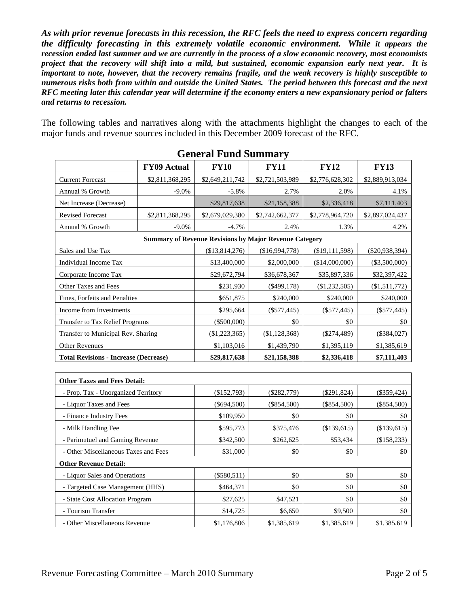*As with prior revenue forecasts in this recession, the RFC feels the need to express concern regarding the difficulty forecasting in this extremely volatile economic environment. While it appears the recession ended last summer and we are currently in the process of a slow economic recovery, most economists project that the recovery will shift into a mild, but sustained, economic expansion early next year. It is important to note, however, that the recovery remains fragile, and the weak recovery is highly susceptible to numerous risks both from within and outside the United States. The period between this forecast and the next RFC meeting later this calendar year will determine if the economy enters a new expansionary period or falters and returns to recession.*

The following tables and narratives along with the attachments highlight the changes to each of the major funds and revenue sources included in this December 2009 forecast of the RFC.

|                                              |                 | OCHEL AL 1º UNU DUNHINAI Y                                    |                 |                 |                  |
|----------------------------------------------|-----------------|---------------------------------------------------------------|-----------------|-----------------|------------------|
|                                              | FY09 Actual     | <b>FY10</b>                                                   | <b>FY11</b>     | <b>FY12</b>     | <b>FY13</b>      |
| <b>Current Forecast</b>                      | \$2,811,368,295 | \$2,649,211,742                                               | \$2,721,503,989 | \$2,776,628,302 | \$2,889,913,034  |
| Annual % Growth                              | $-9.0\%$        | $-5.8%$                                                       | 2.7%            | 2.0%            | 4.1%             |
| Net Increase (Decrease)                      |                 | \$29,817,638                                                  | \$21,158,388    | \$2,336,418     | \$7,111,403      |
| <b>Revised Forecast</b>                      | \$2,811,368,295 | \$2,679,029,380                                               | \$2,742,662,377 | \$2,778,964,720 | \$2,897,024,437  |
| Annual % Growth                              | $-9.0\%$        | $-4.7%$                                                       | 2.4%            | 1.3%            | 4.2%             |
|                                              |                 | <b>Summary of Revenue Revisions by Major Revenue Category</b> |                 |                 |                  |
| Sales and Use Tax                            |                 | (\$13,814,276)                                                | (\$16,994,778)  | (\$19,111,598)  | $(\$20,938,394)$ |
| Individual Income Tax                        |                 | \$13,400,000                                                  | \$2,000,000     | (\$14,000,000)  | $(\$3,500,000)$  |
| Corporate Income Tax                         |                 | \$29,672,794                                                  | \$36,678,367    | \$35,897,336    | \$32,397,422     |
| Other Taxes and Fees                         |                 | \$231,930                                                     | $(\$499,178)$   | $(\$1,232,505)$ | (\$1,511,772)    |
| Fines, Forfeits and Penalties                |                 | \$651,875                                                     | \$240,000       | \$240,000       | \$240,000        |
| Income from Investments                      |                 | \$295,664                                                     | $(\$577,445)$   | $(\$577,445)$   | $(\$577,445)$    |
| <b>Transfer to Tax Relief Programs</b>       |                 | $(\$500,000)$                                                 | \$0             | \$0             | $\$0$            |
| Transfer to Municipal Rev. Sharing           |                 | (\$1,223,365)                                                 | (\$1,128,368)   | $(\$274,489)$   | (\$384,027)      |
| <b>Other Revenues</b>                        |                 | \$1,103,016                                                   | \$1,439,790     | \$1,395,119     | \$1,385,619      |
| <b>Total Revisions - Increase (Decrease)</b> |                 | \$29,817,638                                                  | \$21,158,388    | \$2,336,418     | \$7,111,403      |
|                                              |                 |                                                               |                 |                 |                  |
| <b>Other Taxes and Fees Detail:</b>          |                 |                                                               |                 |                 |                  |
| - Prop. Tax - Unorganized Territory          |                 | (\$152,793)                                                   | $(\$282,779)$   | $(\$291,824)$   | $(\$359,424)$    |
| - Liquor Taxes and Fees                      |                 | $(\$694,500)$                                                 | $(\$854,500)$   | $(\$854,500)$   | $(\$854,500)$    |
| - Finance Industry Fees                      |                 | \$109,950                                                     | \$0             | \$0             | \$0              |
| - Milk Handling Fee                          |                 | \$595,773                                                     | \$375,476       | (\$139,615)     | (\$139,615)      |
| - Parimutuel and Gaming Revenue              |                 | \$342,500                                                     | \$262,625       | \$53,434        | (\$158,233)      |
| - Other Miscellaneous Taxes and Fees         |                 | \$31,000                                                      | \$0             | \$0             | \$0              |
| <b>Other Revenue Detail:</b>                 |                 |                                                               |                 |                 |                  |
| - Liquor Sales and Operations                |                 | $(\$580,511)$                                                 | \$0             | \$0             | $\$0$            |
| - Targeted Case Management (HHS)             |                 | \$464,371                                                     | \$0             | \$0             | \$0              |
| - State Cost Allocation Program              |                 | \$27,625                                                      | \$47,521        | \$0             | \$0              |
| - Tourism Transfer                           |                 | \$14,725                                                      | \$6,650         | \$9,500         | \$0              |
| - Other Miscellaneous Revenue                |                 | \$1,176,806                                                   | \$1,385,619     | \$1,385,619     | \$1,385,619      |

**General Fund Summary**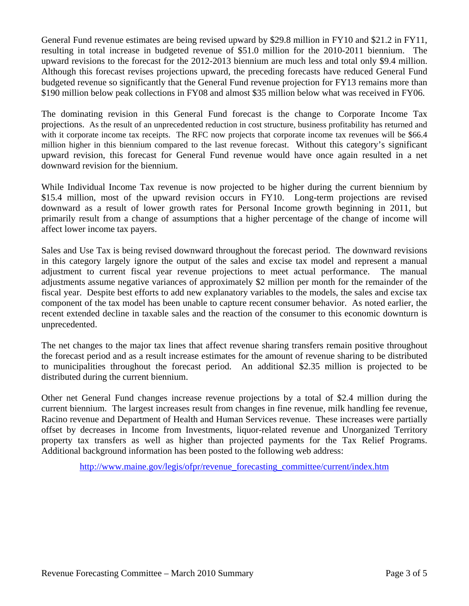General Fund revenue estimates are being revised upward by \$29.8 million in FY10 and \$21.2 in FY11, resulting in total increase in budgeted revenue of \$51.0 million for the 2010-2011 biennium. The upward revisions to the forecast for the 2012-2013 biennium are much less and total only \$9.4 million. Although this forecast revises projections upward, the preceding forecasts have reduced General Fund budgeted revenue so significantly that the General Fund revenue projection for FY13 remains more than \$190 million below peak collections in FY08 and almost \$35 million below what was received in FY06.

The dominating revision in this General Fund forecast is the change to Corporate Income Tax projections. As the result of an unprecedented reduction in cost structure, business profitability has returned and with it corporate income tax receipts. The RFC now projects that corporate income tax revenues will be \$66.4 million higher in this biennium compared to the last revenue forecast. Without this category's significant upward revision, this forecast for General Fund revenue would have once again resulted in a net downward revision for the biennium.

While Individual Income Tax revenue is now projected to be higher during the current biennium by \$15.4 million, most of the upward revision occurs in FY10. Long-term projections are revised downward as a result of lower growth rates for Personal Income growth beginning in 2011, but primarily result from a change of assumptions that a higher percentage of the change of income will affect lower income tax payers.

Sales and Use Tax is being revised downward throughout the forecast period. The downward revisions in this category largely ignore the output of the sales and excise tax model and represent a manual adjustment to current fiscal year revenue projections to meet actual performance. The manual adjustments assume negative variances of approximately \$2 million per month for the remainder of the fiscal year. Despite best efforts to add new explanatory variables to the models, the sales and excise tax component of the tax model has been unable to capture recent consumer behavior. As noted earlier, the recent extended decline in taxable sales and the reaction of the consumer to this economic downturn is unprecedented.

The net changes to the major tax lines that affect revenue sharing transfers remain positive throughout the forecast period and as a result increase estimates for the amount of revenue sharing to be distributed to municipalities throughout the forecast period. An additional \$2.35 million is projected to be distributed during the current biennium.

Other net General Fund changes increase revenue projections by a total of \$2.4 million during the current biennium. The largest increases result from changes in fine revenue, milk handling fee revenue, Racino revenue and Department of Health and Human Services revenue. These increases were partially offset by decreases in Income from Investments, liquor-related revenue and Unorganized Territory property tax transfers as well as higher than projected payments for the Tax Relief Programs. Additional background information has been posted to the following web address:

http://www.maine.gov/legis/ofpr/revenue\_forecasting\_committee/current/index.htm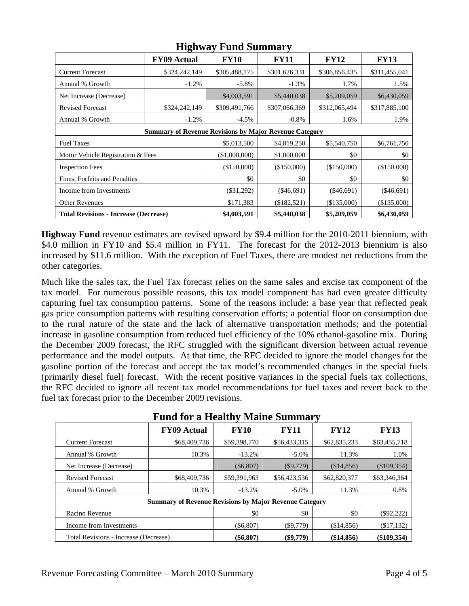|                                              | 0<br><b>FY09 Actual</b>                                       | <b>FY10</b>   | <b>FY11</b>   | <b>FY12</b>   | <b>FY13</b>   |  |  |  |  |
|----------------------------------------------|---------------------------------------------------------------|---------------|---------------|---------------|---------------|--|--|--|--|
| <b>Current Forecast</b>                      | \$324,242,149                                                 | \$305,488,175 | \$301,626,331 | \$306,856,435 | \$311,455,041 |  |  |  |  |
| Annual % Growth                              | $-1.2%$                                                       | $-5.8\%$      | $-1.3%$       | 1.7%          | 1.5%          |  |  |  |  |
| Net Increase (Decrease)                      |                                                               | \$4,003,591   | \$5,440,038   | \$5,209,059   | \$6,430,059   |  |  |  |  |
| <b>Revised Forecast</b>                      | \$324,242,149                                                 | \$309,491,766 | \$307,066,369 | \$312,065,494 | \$317,885,100 |  |  |  |  |
| Annual % Growth                              | $-1.2%$                                                       | $-4.5\%$      | $-0.8\%$      | 1.6%          | 1.9%          |  |  |  |  |
|                                              | <b>Summary of Revenue Revisions by Major Revenue Category</b> |               |               |               |               |  |  |  |  |
| <b>Fuel Taxes</b>                            |                                                               | \$5,013,500   | \$4,819,250   | \$5,540,750   | \$6,761,750   |  |  |  |  |
| Motor Vehicle Registration & Fees            |                                                               | (\$1,000,000) | \$1,000,000   | \$0           | \$0           |  |  |  |  |
| <b>Inspection Fees</b>                       |                                                               | (\$150,000)   | (\$150,000)   | (\$150,000)   | (\$150,000)   |  |  |  |  |
| Fines, Forfeits and Penalties                |                                                               | \$0           | \$0           | \$0           | \$0           |  |  |  |  |
| Income from Investments                      |                                                               | $(\$31,292)$  | $(\$46,691)$  | $(\$46,691)$  | $(\$46,691)$  |  |  |  |  |
| <b>Other Revenues</b>                        |                                                               | \$171,383     | (\$182,521)   | (\$135,000)   | (\$135,000)   |  |  |  |  |
| <b>Total Revisions - Increase (Decrease)</b> |                                                               | \$4,003,591   | \$5,440,038   | \$5,209,059   | \$6,430,059   |  |  |  |  |

### **Highway Fund Summary**

**Highway Fund** revenue estimates are revised upward by \$9.4 million for the 2010-2011 biennium, with \$4.0 million in FY10 and \$5.4 million in FY11. The forecast for the 2012-2013 biennium is also increased by \$11.6 million. With the exception of Fuel Taxes, there are modest net reductions from the other categories.

Much like the sales tax, the Fuel Tax forecast relies on the same sales and excise tax component of the tax model. For numerous possible reasons, this tax model component has had even greater difficulty capturing fuel tax consumption patterns. Some of the reasons include: a base year that reflected peak gas price consumption patterns with resulting conservation efforts; a potential floor on consumption due to the rural nature of the state and the lack of alternative transportation methods; and the potential increase in gasoline consumption from reduced fuel efficiency of the 10% ethanol-gasoline mix. During the December 2009 forecast, the RFC struggled with the significant diversion between actual revenue performance and the model outputs. At that time, the RFC decided to ignore the model changes for the gasoline portion of the forecast and accept the tax model's recommended changes in the special fuels (primarily diesel fuel) forecast. With the recent positive variances in the special fuels tax collections, the RFC decided to ignore all recent tax model recommendations for fuel taxes and revert back to the fuel tax forecast prior to the December 2009 revisions.

|                                       | <b>FY09 Actual</b>                                            | <b>FY10</b>  | <b>FY11</b>  | <b>FY12</b>  | <b>FY13</b>   |
|---------------------------------------|---------------------------------------------------------------|--------------|--------------|--------------|---------------|
| <b>Current Forecast</b>               | \$68,409,736                                                  | \$59,398,770 | \$56,433,315 | \$62,835,233 | \$63,455,718  |
| Annual % Growth                       | 10.3%                                                         | $-13.2%$     | $-5.0\%$     | 11.3%        | 1.0%          |
| Net Increase (Decrease)               |                                                               | $(\$6,807)$  | $(\$9,779)$  | (\$14,856)   | (\$109,354)   |
| <b>Revised Forecast</b>               | \$68,409,736                                                  | \$59,391,963 | \$56,423,536 | \$62,820,377 | \$63,346,364  |
| Annual % Growth                       | 10.3%                                                         | $-13.2%$     | $-5.0\%$     | 11.3%        | 0.8%          |
|                                       | <b>Summary of Revenue Revisions by Major Revenue Category</b> |              |              |              |               |
| Racino Revenue                        |                                                               | \$0          | \$0          | \$0          | $(\$92,222)$  |
| Income from Investments               |                                                               | $(\$6,807)$  | $(\$9,779)$  | (\$14,856)   | (\$17,132)    |
| Total Revisions - Increase (Decrease) |                                                               | $(\$6,807)$  | $(\$9,779)$  | (\$14,856)   | $(\$109,354)$ |

| <b>Fund for a Healthy Maine Summary</b> |
|-----------------------------------------|
|-----------------------------------------|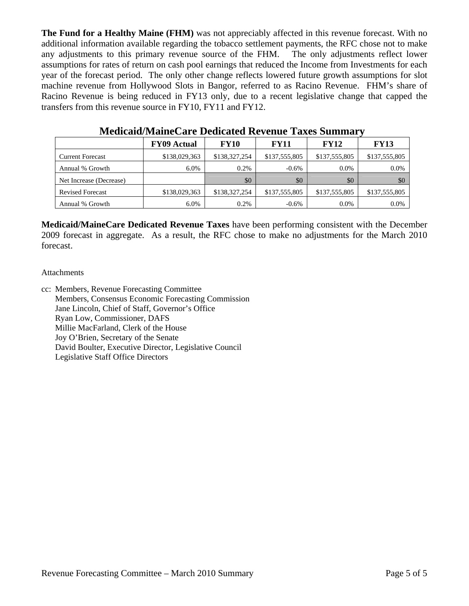**The Fund for a Healthy Maine (FHM)** was not appreciably affected in this revenue forecast. With no additional information available regarding the tobacco settlement payments, the RFC chose not to make any adjustments to this primary revenue source of the FHM. The only adjustments reflect lower assumptions for rates of return on cash pool earnings that reduced the Income from Investments for each year of the forecast period. The only other change reflects lowered future growth assumptions for slot machine revenue from Hollywood Slots in Bangor, referred to as Racino Revenue. FHM's share of Racino Revenue is being reduced in FY13 only, due to a recent legislative change that capped the transfers from this revenue source in FY10, FY11 and FY12.

|                         | <b>FY09 Actual</b> | <b>FY10</b>   | <b>FY11</b>   | <b>FY12</b>   | <b>FY13</b>   |
|-------------------------|--------------------|---------------|---------------|---------------|---------------|
| <b>Current Forecast</b> | \$138,029,363      | \$138,327,254 | \$137,555,805 | \$137,555,805 | \$137,555,805 |
| Annual % Growth         | 6.0%               | 0.2%          | $-0.6\%$      | $0.0\%$       | $0.0\%$       |
| Net Increase (Decrease) |                    | \$0           | \$0           | \$0           | \$0           |
| <b>Revised Forecast</b> | \$138,029,363      | \$138,327,254 | \$137,555,805 | \$137,555,805 | \$137,555,805 |
| Annual % Growth         | 6.0%               | 0.2%          | $-0.6\%$      | $0.0\%$       | $0.0\%$       |

**Medicaid/MaineCare Dedicated Revenue Taxes Summary** 

**Medicaid/MaineCare Dedicated Revenue Taxes** have been performing consistent with the December 2009 forecast in aggregate. As a result, the RFC chose to make no adjustments for the March 2010 forecast.

### Attachments

cc: Members, Revenue Forecasting Committee Members, Consensus Economic Forecasting Commission Jane Lincoln, Chief of Staff, Governor's Office Ryan Low, Commissioner, DAFS Millie MacFarland, Clerk of the House Joy O'Brien, Secretary of the Senate David Boulter, Executive Director, Legislative Council Legislative Staff Office Directors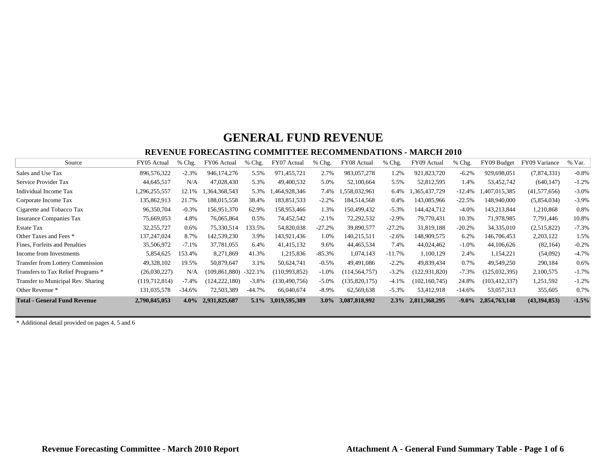#### **REVENUE FORECASTING COMMITTEE RECOMMENDATIONS - MARCH 2010**

| Source                                  | FY05 Actual     | $%$ Chg. | FY06 Actual     | % Chg.    | FY07 Actual     | $%$ Chg. | FY08 Actual     | $%$ Chg. | FY09 Actual     | $%$ Chg. | FY09 Budget     | FY09 Variance  | % Var.  |
|-----------------------------------------|-----------------|----------|-----------------|-----------|-----------------|----------|-----------------|----------|-----------------|----------|-----------------|----------------|---------|
| Sales and Use Tax                       | 896,576,322     | $-2.3%$  | 946,174,276     | 5.5%      | 971,455,721     | 2.7%     | 983,057,278     | 1.2%     | 921,823,720     | $-6.2%$  | 929.698.051     | (7,874,331)    | $-0.8%$ |
| Service Provider Tax                    | 44,645,517      | N/A      | 47,028,430      | 5.3%      | 49,400,532      | 5.0%     | 52,100,664      | 5.5%     | 52,812,595      | 1.4%     | 53,452,742      | (640, 147)     | $-1.2%$ |
| Individual Income Tax                   | 1,296,255,557   | 12.1%    | .364,368,543    | 5.3%      | 1,464,928,346   | 7.4%     | 1,558,032,961   | 6.4%     | ,365,437,729    | $-12.4%$ | 407,015,385     | (41, 577, 656) | $-3.0%$ |
| Corporate Income Tax                    | 135,862,913     | 21.7%    | 188,015,558     | 38.4%     | 183,851,533     | $-2.2%$  | 184,514,568     | $0.4\%$  | 143,085,966     | $-22.5%$ | 148,940,000     | (5,854,034)    | $-3.9%$ |
| Cigarette and Tobacco Tax               | 96,350,704      | $-0.3%$  | 156,951,370     | 62.9%     | 158,953,466     | 1.3%     | 150,499,432     | $-5.3%$  | 144,424,712     | $-4.0%$  | 143,213,844     | 1,210,868      | 0.8%    |
| <b>Insurance Companies Tax</b>          | 75,669,053      | 4.8%     | 76,065,864      | 0.5%      | 74,452,542      | $-2.1%$  | 72,292,532      | $-2.9%$  | 79,770,431      | 10.3%    | 71,978,985      | 7,791,446      | 10.8%   |
| <b>Estate Tax</b>                       | 32,255,727      | 0.6%     | 75,330,514      | 133.5%    | 54,820,038      | $-27.2%$ | 39,890,577      | $-27.2%$ | 31,819,188      | $-20.2%$ | 34,335,010      | (2,515,822)    | $-7.3%$ |
| Other Taxes and Fees *                  | 137,247,024     | 8.7%     | 142,539,230     | 3.9%      | 143,921,436     | 1.0%     | 140,215,511     | $-2.6%$  | 148,909,575     | 6.2%     | 146,706,453     | 2,203,122      | 1.5%    |
| Fines, Forfeits and Penalties           | 35,506,972      | $-7.1%$  | 37,781,055      | 6.4%      | 41,415,132      | 9.6%     | 44,465,534      | 7.4%     | 44,024,462      | $-1.0\%$ | 44,106,626      | (82, 164)      | $-0.2%$ |
| Income from Investments                 | 5,854,625       | 153.4%   | 8,271,869       | 41.3%     | 1,215,836       | $-85.3%$ | 1,074,143       | $-11.7%$ | 1,100,129       | 2.4%     | 1,154,221       | (54,092)       | $-4.7%$ |
| <b>Transfer from Lottery Commission</b> | 49,328,102      | 19.5%    | 50,879,647      | 3.1%      | 50,624,741      | $-0.5\%$ | 49,491,086      | $-2.2%$  | 49,839,434      | 0.7%     | 49,549,250      | 290,184        | 0.6%    |
| Transfers to Tax Relief Programs *      | (26,030,227)    | N/A      | (109.861.880)   | $-322.1%$ | (110,993,852)   | $-1.0\%$ | (114, 564, 757) | $-3.2%$  | (122, 931, 820) | $-7.3%$  | (125, 032, 395) | 2,100,575      | $-1.7%$ |
| Transfer to Municipal Rev. Sharing      | (119, 712, 814) | $-7.4%$  | (124, 222, 180) | $-3.8%$   | (130, 490, 756) | $-5.0\%$ | (135,820,175)   | $-4.1%$  | (102, 160, 745) | 24.8%    | (103, 412, 337) | 1,251,592      | $-1.2%$ |
| Other Revenue *                         | 131,035,578     | $-34.6%$ | 72,503,389      | $-44.7%$  | 66,040,674      | $-8.9\%$ | 62,569,638      | $-5.3%$  | 53,412,918      | $-14.6%$ | 53,057,313      | 355,605        | 0.7%    |
| <b>Total - General Fund Revenue</b>     | 2,790,845,053   | $4.0\%$  | 2,931,825,687   | $5.1\%$   | 3,019,595,389   | $3.0\%$  | 3,087,818,992   | 2.3%     | 2,811,368,295   | $-9.0\%$ | 2,854,763,148   | (43,394,853)   | $-1.5%$ |

\* Additional detail provided on pages 4, 5 and 6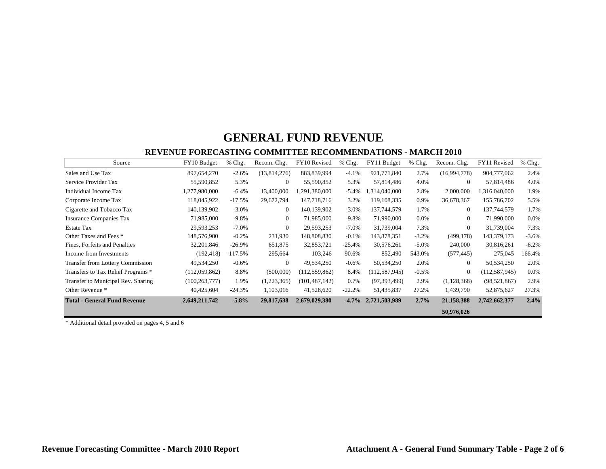#### **REVENUE FORECASTING COMMITTEE RECOMMENDATIONS - MARCH 2010**

| Source                                  | FY10 Budget     | % Chg.    | Recom. Chg.    | FY10 Revised    | % Chg.    | FY11 Budget     | % Chg.   | Recom. Chg.    | FY11 Revised    | % Chg.  |
|-----------------------------------------|-----------------|-----------|----------------|-----------------|-----------|-----------------|----------|----------------|-----------------|---------|
| Sales and Use Tax                       | 897,654,270     | $-2.6%$   | (13, 814, 276) | 883,839,994     | $-4.1%$   | 921,771,840     | 2.7%     | (16,994,778)   | 904,777,062     | 2.4%    |
| Service Provider Tax                    | 55,590,852      | 5.3%      | $\Omega$       | 55,590,852      | 5.3%      | 57,814,486      | 4.0%     | $\theta$       | 57,814,486      | 4.0%    |
| Individual Income Tax                   | 1,277,980,000   | $-6.4%$   | 13,400,000     | ,291,380,000    | $-5.4%$   | 1,314,040,000   | 2.8%     | 2,000,000      | 1,316,040,000   | 1.9%    |
| Corporate Income Tax                    | 118,045,922     | $-17.5%$  | 29,672,794     | 147,718,716     | 3.2%      | 119, 108, 335   | 0.9%     | 36,678,367     | 155,786,702     | 5.5%    |
| Cigarette and Tobacco Tax               | 140,139,902     | $-3.0\%$  | $\overline{0}$ | 140,139,902     | $-3.0\%$  | 137,744,579     | $-1.7\%$ | $\mathbf{0}$   | 137,744,579     | $-1.7%$ |
| <b>Insurance Companies Tax</b>          | 71,985,000      | $-9.8\%$  | $\overline{0}$ | 71,985,000      | $-9.8\%$  | 71,990,000      | 0.0%     | $\overline{0}$ | 71,990,000      | $0.0\%$ |
| <b>Estate Tax</b>                       | 29,593,253      | $-7.0\%$  | $\theta$       | 29,593,253      | $-7.0\%$  | 31,739,004      | 7.3%     | $\mathbf{0}$   | 31,739,004      | 7.3%    |
| Other Taxes and Fees *                  | 148,576,900     | $-0.2%$   | 231,930        | 148,808,830     | $-0.1%$   | 143,878,351     | $-3.2%$  | (499, 178)     | 143,379,173     | $-3.6%$ |
| Fines, Forfeits and Penalties           | 32, 201, 846    | $-26.9\%$ | 651,875        | 32,853,721      | $-25.4%$  | 30,576,261      | $-5.0\%$ | 240,000        | 30,816,261      | $-6.2%$ |
| Income from Investments                 | (192, 418)      | $-117.5%$ | 295,664        | 103,246         | $-90.6\%$ | 852,490         | 543.0%   | (577, 445)     | 275,045         | 166.4%  |
| <b>Transfer from Lottery Commission</b> | 49,534,250      | $-0.6%$   | $\theta$       | 49,534,250      | $-0.6%$   | 50,534,250      | 2.0%     | $\theta$       | 50,534,250      | 2.0%    |
| Transfers to Tax Relief Programs *      | (112,059,862)   | 8.8%      | (500,000)      | (112, 559, 862) | 8.4%      | (112, 587, 945) | $-0.5%$  | $\mathbf{0}$   | (112, 587, 945) | $0.0\%$ |
| Transfer to Municipal Rev. Sharing      | (100, 263, 777) | 1.9%      | (1,223,365)    | (101, 487, 142) | 0.7%      | (97, 393, 499)  | 2.9%     | (1, 128, 368)  | (98, 521, 867)  | 2.9%    |
| Other Revenue *                         | 40,425,604      | $-24.3%$  | 1,103,016      | 41,528,620      | $-22.2%$  | 51,435,837      | 27.2%    | 1,439,790      | 52,875,627      | 27.3%   |
| <b>Total - General Fund Revenue</b>     | 2,649,211,742   | $-5.8\%$  | 29,817,638     | 2,679,029,380   | $-4.7\%$  | 2,721,503,989   | 2.7%     | 21,158,388     | 2,742,662,377   | 2.4%    |
|                                         |                 |           |                |                 |           |                 |          | 50,976,026     |                 |         |

\* Additional detail provided on pages 4, 5 and 6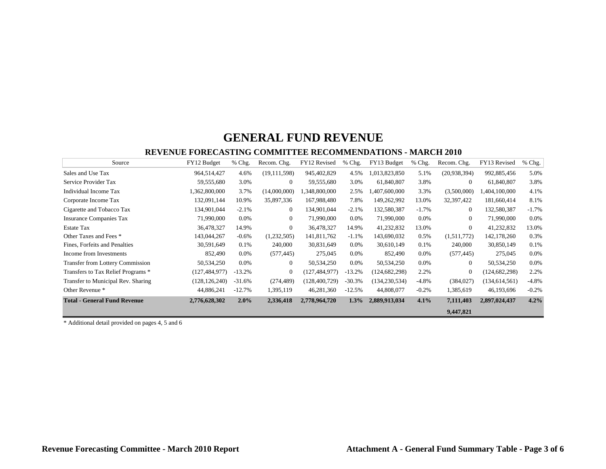#### **REVENUE FORECASTING COMMITTEE RECOMMENDATIONS - MARCH 2010**

| Source                                  | FY12 Budget     | % Chg.   | Recom. Chg.      | FY12 Revised    | % Chg.   | FY13 Budget     | % Chg.  | Recom. Chg.    | FY13 Revised    | Chg.<br>% |
|-----------------------------------------|-----------------|----------|------------------|-----------------|----------|-----------------|---------|----------------|-----------------|-----------|
| Sales and Use Tax                       | 964,514,427     | 4.6%     | (19, 111, 598)   | 945,402,829     | 4.5%     | 1,013,823,850   | 5.1%    | (20,938,394)   | 992,885,456     | 5.0%      |
| Service Provider Tax                    | 59,555,680      | 3.0%     | $\overline{0}$   | 59,555,680      | 3.0%     | 61,840,807      | 3.8%    | $\Omega$       | 61,840,807      | 3.8%      |
| Individual Income Tax                   | 1,362,800,000   | 3.7%     | (14,000,000)     | .348,800,000    | 2.5%     | 1,407,600,000   | 3.3%    | (3,500,000)    | 1,404,100,000   | 4.1%      |
| Corporate Income Tax                    | 132,091,144     | 10.9%    | 35,897,336       | 167,988,480     | 7.8%     | 149,262,992     | 13.0%   | 32,397,422     | 181,660,414     | 8.1%      |
| Cigarette and Tobacco Tax               | 134,901,044     | $-2.1%$  | $\overline{0}$   | 134,901,044     | $-2.1%$  | 132,580,387     | $-1.7%$ | $\overline{0}$ | 132,580,387     | $-1.7%$   |
| <b>Insurance Companies Tax</b>          | 71,990,000      | $0.0\%$  | $\overline{0}$   | 71,990,000      | $0.0\%$  | 71,990,000      | $0.0\%$ | $\overline{0}$ | 71,990,000      | $0.0\%$   |
| <b>Estate Tax</b>                       | 36,478,327      | 14.9%    | $\theta$         | 36,478,327      | 14.9%    | 41,232,832      | 13.0%   | $\Omega$       | 41,232,832      | 13.0%     |
| Other Taxes and Fees *                  | 143,044,267     | $-0.6%$  | (1,232,505)      | 141,811,762     | $-1.1%$  | 143,690,032     | 0.5%    | (1,511,772)    | 142,178,260     | 0.3%      |
| Fines, Forfeits and Penalties           | 30,591,649      | 0.1%     | 240,000          | 30,831,649      | $0.0\%$  | 30,610,149      | 0.1%    | 240,000        | 30,850,149      | 0.1%      |
| Income from Investments                 | 852,490         | 0.0%     | (577, 445)       | 275,045         | $0.0\%$  | 852,490         | 0.0%    | (577, 445)     | 275,045         | $0.0\%$   |
| <b>Transfer from Lottery Commission</b> | 50,534,250      | 0.0%     | $\overline{0}$   | 50,534,250      | $0.0\%$  | 50,534,250      | 0.0%    | $\overline{0}$ | 50,534,250      | $0.0\%$   |
| Transfers to Tax Relief Programs *      | (127, 484, 977) | $-13.2%$ | $\boldsymbol{0}$ | (127, 484, 977) | $-13.2%$ | (124, 682, 298) | 2.2%    | $\overline{0}$ | (124, 682, 298) | 2.2%      |
| Transfer to Municipal Rev. Sharing      | (128, 126, 240) | $-31.6%$ | (274, 489)       | (128, 400, 729) | $-30.3%$ | (134, 230, 534) | $-4.8%$ | (384, 027)     | (134, 614, 561) | $-4.8\%$  |
| Other Revenue *                         | 44,886,241      | $-12.7%$ | 1,395,119        | 46,281,360      | $-12.5%$ | 44,808,077      | $-0.2%$ | 1,385,619      | 46,193,696      | $-0.2\%$  |
| <b>Total - General Fund Revenue</b>     | 2,776,628,302   | 2.0%     | 2,336,418        | 2,778,964,720   | $1.3\%$  | 2,889,913,034   | 4.1%    | 7,111,403      | 2,897,024,437   | 4.2%      |
|                                         |                 |          |                  |                 |          |                 |         | 9,447,821      |                 |           |

\* Additional detail provided on pages 4, 5 and 6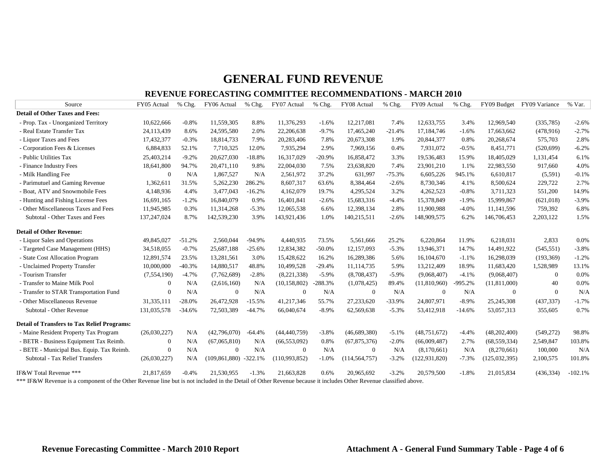#### **REVENUE FORECASTING COMMITTEE RECOMMENDATIONS - MARCH 2010**

| Source                                                                                                                                                           | FY05 Actual   | % Chg.   | FY06 Actual               | % Chg.   | FY07 Actual    | % Chg.    | FY08 Actual     | % Chg.   | FY09 Actual     | % Chg.   |                 | FY09 Budget FY09 Variance | % Var.    |
|------------------------------------------------------------------------------------------------------------------------------------------------------------------|---------------|----------|---------------------------|----------|----------------|-----------|-----------------|----------|-----------------|----------|-----------------|---------------------------|-----------|
| <b>Detail of Other Taxes and Fees:</b>                                                                                                                           |               |          |                           |          |                |           |                 |          |                 |          |                 |                           |           |
| - Prop. Tax - Unorganized Territory                                                                                                                              | 10,622,666    | $-0.8%$  | 11,559,305                | 8.8%     | 11,376,293     | $-1.6%$   | 12,217,081      | 7.4%     | 12,633,755      | 3.4%     | 12,969,540      | (335,785)                 | $-2.6%$   |
| - Real Estate Transfer Tax                                                                                                                                       | 24,113,439    | 8.6%     | 24,595,580                | 2.0%     | 22,206,638     | $-9.7%$   | 17,465,240      | $-21.4%$ | 17,184,746      | $-1.6%$  | 17.663.662      | (478, 916)                | $-2.7%$   |
| - Liquor Taxes and Fees                                                                                                                                          | 17,432,377    | $-0.3%$  | 18,814,733                | 7.9%     | 20,283,406     | 7.8%      | 20,673,308      | 1.9%     | 20,844,377      | 0.8%     | 20,268,674      | 575,703                   | 2.8%      |
| - Corporation Fees & Licenses                                                                                                                                    | 6,884,833     | 52.1%    | 7,710,325                 | 12.0%    | 7,935,294      | 2.9%      | 7,969,156       | 0.4%     | 7,931,072       | $-0.5%$  | 8,451,771       | (520, 699)                | $-6.2%$   |
| - Public Utilities Tax                                                                                                                                           | 25,403,214    | $-9.2%$  | 20,627,030                | $-18.8%$ | 16,317,029     | $-20.9%$  | 16,858,472      | 3.3%     | 19,536,483      | 15.9%    | 18,405,029      | 1,131,454                 | 6.1%      |
| - Finance Industry Fees                                                                                                                                          | 18,641,800    | 94.7%    | 20,471,110                | 9.8%     | 22,004,030     | 7.5%      | 23,638,820      | 7.4%     | 23,901,210      | 1.1%     | 22,983,550      | 917,660                   | 4.0%      |
| - Milk Handling Fee                                                                                                                                              | $\mathbf{0}$  | N/A      | 1,867,527                 | N/A      | 2,561,972      | 37.2%     | 631,997         | $-75.3%$ | 6,605,226       | 945.1%   | 6,610,817       | (5,591)                   | $-0.1%$   |
| - Parimutuel and Gaming Revenue                                                                                                                                  | 1,362,611     | 31.5%    | 5,262,230                 | 286.2%   | 8,607,317      | 63.6%     | 8,384,464       | $-2.6%$  | 8,730,346       | 4.1%     | 8,500,624       | 229,722                   | 2.7%      |
| - Boat, ATV and Snowmobile Fees                                                                                                                                  | 4,148,936     | 4.4%     | 3,477,043                 | $-16.2%$ | 4,162,079      | 19.7%     | 4,295,524       | 3.2%     | 4,262,523       | $-0.8%$  | 3,711,323       | 551,200                   | 14.9%     |
| - Hunting and Fishing License Fees                                                                                                                               | 16,691,165    | $-1.2%$  | 16,840,079                | 0.9%     | 16,401,841     | $-2.6%$   | 15,683,316      | $-4.4%$  | 15,378,849      | $-1.9%$  | 15,999,867      | (621, 018)                | $-3.9%$   |
| - Other Miscellaneous Taxes and Fees                                                                                                                             | 11,945,985    | 0.3%     | 11,314,268                | $-5.3%$  | 12.065.538     | 6.6%      | 12,398,134      | 2.8%     | 11,900,988      | $-4.0%$  | 11,141,596      | 759,392                   | 6.8%      |
| Subtotal - Other Taxes and Fees                                                                                                                                  | 137,247,024   | 8.7%     | 142,539,230               | 3.9%     | 143,921,436    | 1.0%      | 140,215,511     | $-2.6%$  | 148,909,575     | 6.2%     | 146,706,453     | 2,203,122                 | 1.5%      |
| <b>Detail of Other Revenue:</b>                                                                                                                                  |               |          |                           |          |                |           |                 |          |                 |          |                 |                           |           |
| - Liquor Sales and Operations                                                                                                                                    | 49,845,027    | $-51.2%$ | 2,560,044                 | $-94.9%$ | 4,440,935      | 73.5%     | 5,561,666       | 25.2%    | 6,220,864       | 11.9%    | 6,218,031       | 2,833                     | 0.0%      |
| - Targeted Case Management (HHS)                                                                                                                                 | 34,518,055    | $-0.7%$  | 25,687,188                | $-25.6%$ | 12,834,382     | $-50.0%$  | 12,157,093      | $-5.3%$  | 13,946,371      | 14.7%    | 14,491,922      | (545, 551)                | $-3.8%$   |
| - State Cost Allocation Program                                                                                                                                  | 12,891,574    | 23.5%    | 13,281,561                | 3.0%     | 15,428,622     | 16.2%     | 16,289,386      | 5.6%     | 16,104,670      | $-1.1%$  | 16,298,039      | (193, 369)                | $-1.2%$   |
| - Unclaimed Property Transfer                                                                                                                                    | 10,000,000    | $-40.3%$ | 14,880,517                | 48.8%    | 10,499,528     | $-29.4%$  | 11,114,735      | 5.9%     | 13,212,409      | 18.9%    | 11,683,420      | 1,528,989                 | 13.1%     |
| - Tourism Transfer                                                                                                                                               | (7, 554, 190) | $-4.7%$  | (7,762,689)               | $-2.8%$  | (8,221,338)    | $-5.9%$   | (8,708,437)     | $-5.9%$  | (9,068,407)     | $-4.1%$  | (9,068,407)     | $\overline{0}$            | 0.0%      |
| - Transfer to Maine Milk Pool                                                                                                                                    | $\Omega$      | N/A      | (2,616,160)               | N/A      | (10, 158, 802) | $-288.3%$ | (1,078,425)     | 89.4%    | (11,810,960)    | -995.2%  | (11,811,000)    | 40                        | 0.0%      |
| - Transfer to STAR Transportation Fund                                                                                                                           | $\Omega$      | N/A      | $\theta$                  | N/A      | $\theta$       | N/A       | $\overline{0}$  | N/A      | $\overline{0}$  | N/A      | $\Omega$        | $\Omega$                  | N/A       |
| - Other Miscellaneous Revenue                                                                                                                                    | 31,335,111    | $-28.0%$ | 26,472,928                | $-15.5%$ | 41,217,346     | 55.7%     | 27,233,620      | $-33.9%$ | 24,807,971      | $-8.9%$  | 25,245,308      | (437, 337)                | $-1.7%$   |
| Subtotal - Other Revenue                                                                                                                                         | 131,035,578   | $-34.6%$ | 72,503,389                | $-44.7%$ | 66,040,674     | $-8.9%$   | 62,569,638      | $-5.3%$  | 53,412,918      | $-14.6%$ | 53,057,313      | 355,605                   | 0.7%      |
| <b>Detail of Transfers to Tax Relief Programs:</b>                                                                                                               |               |          |                           |          |                |           |                 |          |                 |          |                 |                           |           |
| - Maine Resident Property Tax Program                                                                                                                            | (26,030,227)  | N/A      | (42,796,070)              | $-64.4%$ | (44, 440, 759) | $-3.8%$   | (46,689,380)    | $-5.1%$  | (48, 751, 672)  | $-4.4%$  | (48,202,400)    | (549, 272)                | 98.8%     |
| - BETR - Business Equipment Tax Reimb.                                                                                                                           | $\mathbf{0}$  | N/A      | (67,065,810)              | N/A      | (66, 553, 092) | 0.8%      | (67, 875, 376)  | $-2.0%$  | (66,009,487)    | 2.7%     | (68, 559, 334)  | 2,549,847                 | 103.8%    |
| - BETE - Municipal Bus. Equip. Tax Reimb.                                                                                                                        | $\mathbf{0}$  | N/A      | $\theta$                  | N/A      | $\theta$       | N/A       | $\mathbf{0}$    | N/A      | (8,170,661)     | N/A      | (8,270,661)     | 100,000                   | N/A       |
| Subtotal - Tax Relief Transfers                                                                                                                                  | (26,030,227)  | N/A      | $(109, 861, 880)$ -322.1% |          | (110,993,852)  | $-1.0%$   | (114, 564, 757) | $-3.2%$  | (122, 931, 820) | $-7.3%$  | (125, 032, 395) | 2,100,575                 | 101.8%    |
| IF&W Total Revenue ***                                                                                                                                           | 21,817,659    | $-0.4%$  | 21,530,955                | $-1.3%$  | 21,663,828     | 0.6%      | 20,965,692      | $-3.2%$  | 20,579,500      | $-1.8%$  | 21,015,834      | (436, 334)                | $-102.1%$ |
| *** IF&W Revenue is a component of the Other Revenue line but is not included in the Detail of Other Revenue because it includes Other Revenue classified above. |               |          |                           |          |                |           |                 |          |                 |          |                 |                           |           |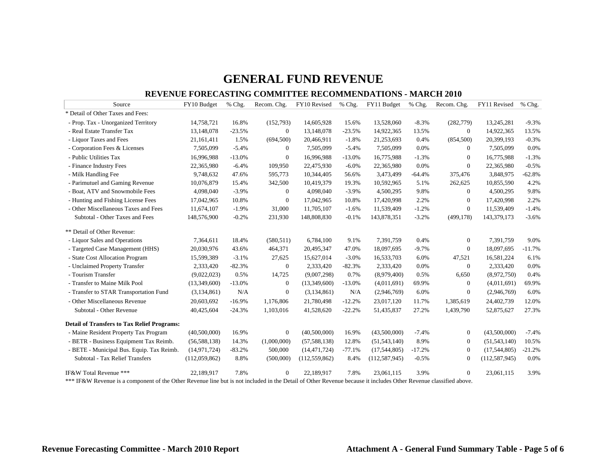#### **REVENUE FORECASTING COMMITTEE RECOMMENDATIONS - MARCH 2010**

| Source                                             | FY10 Budget    | $%$ Chg. | Recom. Chg.      | FY10 Revised    | % Chg.   | FY11 Budget     | % Chg.   | Recom. Chg.      | FY11 Revised    | % Chg.   |
|----------------------------------------------------|----------------|----------|------------------|-----------------|----------|-----------------|----------|------------------|-----------------|----------|
| * Detail of Other Taxes and Fees:                  |                |          |                  |                 |          |                 |          |                  |                 |          |
| - Prop. Tax - Unorganized Territory                | 14,758,721     | 16.8%    | (152,793)        | 14,605,928      | 15.6%    | 13,528,060      | $-8.3%$  | (282,779)        | 13,245,281      | $-9.3%$  |
| - Real Estate Transfer Tax                         | 13,148,078     | $-23.5%$ | $\overline{0}$   | 13,148,078      | $-23.5%$ | 14,922,365      | 13.5%    | $\overline{0}$   | 14,922,365      | 13.5%    |
| - Liquor Taxes and Fees                            | 21,161,411     | 1.5%     | (694, 500)       | 20,466,911      | $-1.8%$  | 21,253,693      | 0.4%     | (854, 500)       | 20,399,193      | $-0.3%$  |
| - Corporation Fees & Licenses                      | 7,505,099      | $-5.4%$  | $\mathbf{0}$     | 7,505,099       | $-5.4%$  | 7,505,099       | 0.0%     | $\overline{0}$   | 7,505,099       | 0.0%     |
| - Public Utilities Tax                             | 16,996,988     | $-13.0%$ | $\mathbf{0}$     | 16,996,988      | $-13.0%$ | 16,775,988      | $-1.3%$  | $\mathbf{0}$     | 16,775,988      | $-1.3%$  |
| - Finance Industry Fees                            | 22,365,980     | $-6.4%$  | 109,950          | 22,475,930      | $-6.0%$  | 22,365,980      | 0.0%     | $\mathbf{0}$     | 22,365,980      | $-0.5%$  |
| - Milk Handling Fee                                | 9,748,632      | 47.6%    | 595,773          | 10,344,405      | 56.6%    | 3,473,499       | $-64.4%$ | 375,476          | 3,848,975       | $-62.8%$ |
| - Parimutuel and Gaming Revenue                    | 10,076,879     | 15.4%    | 342,500          | 10,419,379      | 19.3%    | 10,592,965      | 5.1%     | 262,625          | 10,855,590      | 4.2%     |
| - Boat, ATV and Snowmobile Fees                    | 4,098,040      | $-3.9%$  | $\theta$         | 4,098,040       | $-3.9%$  | 4,500,295       | 9.8%     | $\overline{0}$   | 4,500,295       | 9.8%     |
| - Hunting and Fishing License Fees                 | 17,042,965     | 10.8%    | $\mathbf{0}$     | 17,042,965      | 10.8%    | 17,420,998      | 2.2%     | $\mathbf{0}$     | 17,420,998      | 2.2%     |
| - Other Miscellaneous Taxes and Fees               | 11,674,107     | $-1.9%$  | 31,000           | 11,705,107      | $-1.6%$  | 11,539,409      | $-1.2%$  | $\overline{0}$   | 11,539,409      | $-1.4%$  |
| Subtotal - Other Taxes and Fees                    | 148,576,900    | $-0.2%$  | 231,930          | 148,808,830     | $-0.1%$  | 143,878,351     | $-3.2%$  | (499, 178)       | 143,379,173     | $-3.6%$  |
| ** Detail of Other Revenue:                        |                |          |                  |                 |          |                 |          |                  |                 |          |
| - Liquor Sales and Operations                      | 7,364,611      | 18.4%    | (580, 511)       | 6,784,100       | 9.1%     | 7,391,759       | 0.4%     | $\boldsymbol{0}$ | 7,391,759       | 9.0%     |
| - Targeted Case Management (HHS)                   | 20,030,976     | 43.6%    | 464,371          | 20,495,347      | 47.0%    | 18,097,695      | $-9.7%$  | $\mathbf{0}$     | 18,097,695      | $-11.7%$ |
| - State Cost Allocation Program                    | 15,599,389     | $-3.1%$  | 27,625           | 15,627,014      | $-3.0%$  | 16,533,703      | 6.0%     | 47,521           | 16,581,224      | 6.1%     |
| - Unclaimed Property Transfer                      | 2,333,420      | $-82.3%$ | $\mathbf{0}$     | 2,333,420       | $-82.3%$ | 2,333,420       | 0.0%     | $\boldsymbol{0}$ | 2,333,420       | 0.0%     |
| - Tourism Transfer                                 | (9,022,023)    | 0.5%     | 14,725           | (9,007,298)     | 0.7%     | (8,979,400)     | 0.5%     | 6,650            | (8,972,750)     | 0.4%     |
| - Transfer to Maine Milk Pool                      | (13,349,600)   | $-13.0%$ | $\boldsymbol{0}$ | (13,349,600)    | $-13.0%$ | (4,011,691)     | 69.9%    | $\boldsymbol{0}$ | (4,011,691)     | 69.9%    |
| - Transfer to STAR Transportation Fund             | (3,134,861)    | N/A      | $\mathbf{0}$     | (3,134,861)     | N/A      | (2,946,769)     | 6.0%     | $\mathbf{0}$     | (2,946,769)     | 6.0%     |
| - Other Miscellaneous Revenue                      | 20,603,692     | $-16.9%$ | 1,176,806        | 21,780,498      | $-12.2%$ | 23,017,120      | 11.7%    | 1,385,619        | 24,402,739      | 12.0%    |
| Subtotal - Other Revenue                           | 40,425,604     | $-24.3%$ | 1,103,016        | 41,528,620      | $-22.2%$ | 51,435,837      | 27.2%    | 1,439,790        | 52,875,627      | 27.3%    |
| <b>Detail of Transfers to Tax Relief Programs:</b> |                |          |                  |                 |          |                 |          |                  |                 |          |
| - Maine Resident Property Tax Program              | (40,500,000)   | 16.9%    | $\boldsymbol{0}$ | (40,500,000)    | 16.9%    | (43,500,000)    | $-7.4%$  | $\boldsymbol{0}$ | (43,500,000)    | $-7.4%$  |
| - BETR - Business Equipment Tax Reimb.             | (56, 588, 138) | 14.3%    | (1,000,000)      | (57, 588, 138)  | 12.8%    | (51, 543, 140)  | 8.9%     | $\mathbf{0}$     | (51, 543, 140)  | 10.5%    |
| - BETE - Municipal Bus. Equip. Tax Reimb.          | (14, 971, 724) | $-83.2%$ | 500,000          | (14, 471, 724)  | $-77.1%$ | (17,544,805)    | $-17.2%$ | $\mathbf{0}$     | (17,544,805)    | $-21.2%$ |
| Subtotal - Tax Relief Transfers                    |                | 8.8%     | (500,000)        | (112, 559, 862) | 8.4%     | (112, 587, 945) | $-0.5%$  | 0                | (112, 587, 945) | 0.0%     |
|                                                    | (112,059,862)  |          |                  |                 |          |                 |          |                  |                 |          |

\*\*\* IF&W Revenue is a component of the Other Revenue line but is not included in the Detail of Other Revenue because it includes Other Revenue classified above.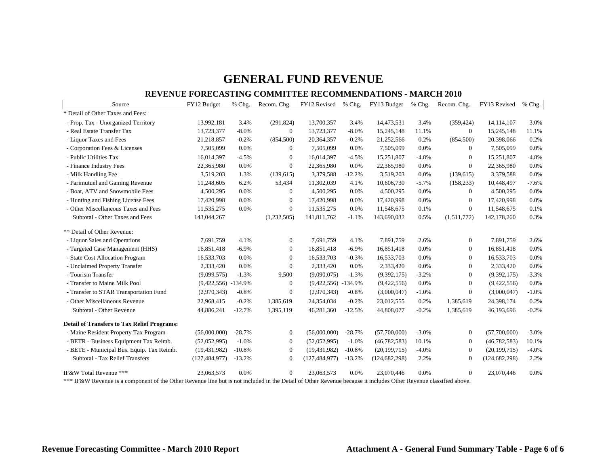#### **REVENUE FORECASTING COMMITTEE RECOMMENDATIONS - MARCH 2010**

| Source                                                                                      | FY12 Budget           | % Chg.   | Recom. Chg.                                | FY12 Revised          | % Chg.   | FY13 Budget                                 | % Chg.  | Recom. Chg.       | FY13 Revised    | % Chg.  |
|---------------------------------------------------------------------------------------------|-----------------------|----------|--------------------------------------------|-----------------------|----------|---------------------------------------------|---------|-------------------|-----------------|---------|
| * Detail of Other Taxes and Fees:                                                           |                       |          |                                            |                       |          |                                             |         |                   |                 |         |
| - Prop. Tax - Unorganized Territory                                                         | 13,992,181            | 3.4%     | (291, 824)                                 | 13,700,357            | 3.4%     | 14,473,531                                  | 3.4%    | (359, 424)        | 14,114,107      | 3.0%    |
| - Real Estate Transfer Tax                                                                  | 13,723,377            | $-8.0%$  | $\mathbf{0}$                               | 13,723,377            | $-8.0%$  | 15,245,148                                  | 11.1%   | $\mathbf{0}$      | 15,245,148      | 11.1%   |
| - Liquor Taxes and Fees                                                                     | 21,218,857            | $-0.2%$  | (854, 500)                                 | 20,364,357            | $-0.2%$  | 21,252,566                                  | 0.2%    | (854, 500)        | 20,398,066      | 0.2%    |
| - Corporation Fees & Licenses                                                               | 7,505,099             | 0.0%     | $\Omega$                                   | 7,505,099             | 0.0%     | 7,505,099                                   | 0.0%    | $\overline{0}$    | 7,505,099       | 0.0%    |
| - Public Utilities Tax                                                                      | 16,014,397            | $-4.5%$  | $\mathbf{0}$                               | 16,014,397            | $-4.5%$  | 15,251,807                                  | $-4.8%$ | $\theta$          | 15,251,807      | $-4.8%$ |
| - Finance Industry Fees                                                                     | 22,365,980            | 0.0%     | $\boldsymbol{0}$                           | 22,365,980            | 0.0%     | 22,365,980                                  | 0.0%    | $\boldsymbol{0}$  | 22,365,980      | 0.0%    |
| - Milk Handling Fee                                                                         | 3,519,203             | 1.3%     | (139, 615)                                 | 3,379,588             | $-12.2%$ | 3,519,203                                   | 0.0%    | (139, 615)        | 3,379,588       | 0.0%    |
| - Parimutuel and Gaming Revenue                                                             | 11,248,605            | 6.2%     | 53,434                                     | 11,302,039            | 4.1%     | 10,606,730                                  | $-5.7%$ | (158, 233)        | 10,448,497      | $-7.6%$ |
| - Boat, ATV and Snowmobile Fees                                                             | 4,500,295             | 0.0%     | $\theta$                                   | 4,500,295             | 0.0%     | 4,500,295                                   | 0.0%    | $\overline{0}$    | 4,500,295       | 0.0%    |
| - Hunting and Fishing License Fees                                                          | 17,420,998            | 0.0%     | $\overline{0}$                             | 17,420,998            | 0.0%     | 17,420,998                                  | 0.0%    | $\theta$          | 17,420,998      | 0.0%    |
| - Other Miscellaneous Taxes and Fees                                                        | 11,535,275            | 0.0%     | $\mathbf{0}$                               | 11,535,275            | 0.0%     | 11,548,675                                  | 0.1%    | $\mathbf{0}$      | 11,548,675      | 0.1%    |
| Subtotal - Other Taxes and Fees                                                             | 143,044,267           |          | (1,232,505)                                | 141,811,762           | $-1.1%$  | 143,690,032                                 | 0.5%    | (1,511,772)       | 142,178,260     | 0.3%    |
| ** Detail of Other Revenue:                                                                 |                       |          |                                            |                       |          |                                             |         |                   |                 |         |
| - Liquor Sales and Operations                                                               | 7,691,759             | 4.1%     | $\theta$                                   | 7,691,759             | 4.1%     | 7,891,759                                   | 2.6%    | $\theta$          | 7,891,759       | 2.6%    |
| - Targeted Case Management (HHS)                                                            | 16,851,418            | $-6.9\%$ | $\boldsymbol{0}$                           | 16,851,418            | $-6.9%$  | 16,851,418                                  | 0.0%    | $\boldsymbol{0}$  | 16,851,418      | 0.0%    |
| - State Cost Allocation Program                                                             | 16,533,703            | 0.0%     | $\Omega$                                   | 16,533,703            | $-0.3%$  | 16,533,703                                  | 0.0%    | $\theta$          | 16,533,703      | 0.0%    |
| - Unclaimed Property Transfer                                                               | 2,333,420             | 0.0%     | $\mathbf{0}$                               | 2,333,420             | 0.0%     | 2,333,420                                   | 0.0%    | $\mathbf{0}$      | 2,333,420       | 0.0%    |
| - Tourism Transfer                                                                          | (9,099,575)           | $-1.3%$  | 9,500                                      | (9,090,075)           | $-1.3%$  | (9,392,175)                                 | $-3.2%$ | $\theta$          | (9,392,175)     | $-3.3%$ |
| - Transfer to Maine Milk Pool                                                               | $(9,422,556) -134.9%$ |          | $\boldsymbol{0}$                           | $(9,422,556) -134.9%$ |          | (9,422,556)                                 | 0.0%    | $\mathbf{0}$      | (9,422,556)     | 0.0%    |
| - Transfer to STAR Transportation Fund                                                      | (2,970,343)           | $-0.8%$  | $\boldsymbol{0}$                           | (2,970,343)           | $-0.8%$  | (3,000,047)                                 | $-1.0%$ | $\boldsymbol{0}$  | (3,000,047)     | $-1.0%$ |
| - Other Miscellaneous Revenue                                                               | 22,968,415            | $-0.2%$  | 1,385,619                                  | 24,354,034            | $-0.2%$  | 23,012,555                                  | 0.2%    | 1,385,619         | 24,398,174      | 0.2%    |
| Subtotal - Other Revenue                                                                    | 44,886,241            | $-12.7%$ | 1,395,119                                  | 46,281,360            | $-12.5%$ | 44,808,077                                  | $-0.2%$ | 1,385,619         | 46,193,696      | $-0.2%$ |
| <b>Detail of Transfers to Tax Relief Programs:</b>                                          |                       |          |                                            |                       |          |                                             |         |                   |                 |         |
| - Maine Resident Property Tax Program                                                       | (56,000,000)          | $-28.7%$ | $\mathbf{0}$                               | (56,000,000)          | $-28.7%$ | (57,700,000)                                | $-3.0%$ | $\theta$          | (57,700,000)    | $-3.0%$ |
| - BETR - Business Equipment Tax Reimb.                                                      | (52,052,995)          | $-1.0%$  | $\mathbf{0}$                               | (52,052,995)          | $-1.0%$  | (46, 782, 583)                              | 10.1%   | $\overline{0}$    | (46, 782, 583)  | 10.1%   |
| - BETE - Municipal Bus. Equip. Tax Reimb.                                                   | (19, 431, 982)        | $-10.8%$ | $\mathbf{0}$                               | (19, 431, 982)        | $-10.8%$ | (20, 199, 715)                              | $-4.0%$ | $\theta$          | (20, 199, 715)  | $-4.0%$ |
| Subtotal - Tax Relief Transfers                                                             | (127, 484, 977)       | $-13.2%$ | $\overline{0}$                             | (127, 484, 977)       | $-13.2%$ | (124, 682, 298)                             | 2.2%    | $\overline{0}$    | (124, 682, 298) | 2.2%    |
| IF&W Total Revenue ***<br>$+ + +$ IP $0$ III D<br>$\sim$ $\sim$ $\sim$ $\sim$ $\sim$ $\sim$ | 23,063,573            | 0.0%     | $\mathbf{0}$<br>$1.1.11.4.5 \times 1.04.5$ | 23,063,573            | 0.0%     | 23,070,446<br>$1 \quad 1$<br>$\Omega_{1}$ n | 0.0%    | $\theta$<br>1.771 | 23,070,446      | 0.0%    |

\*\*\* IF&W Revenue is a component of the Other Revenue line but is not included in the Detail of Other Revenue because it includes Other Revenue classified above.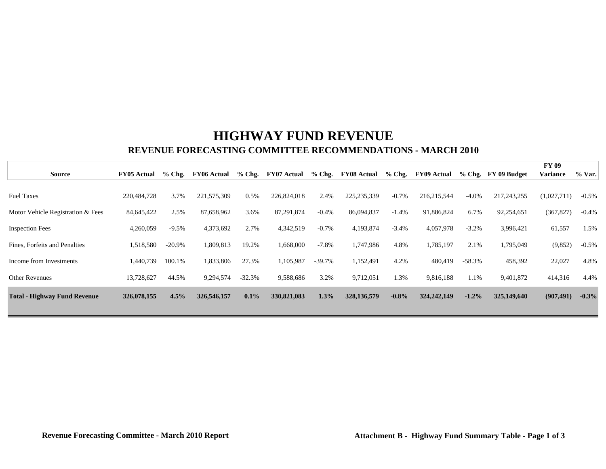## **HIGHWAY FUND REVENUE REVENUE FORECASTING COMMITTEE RECOMMENDATIONS - MARCH 2010**

|                                     |                    |           |                    |          |                    |          |                    |          |                    |          |               | FY 09           |         |
|-------------------------------------|--------------------|-----------|--------------------|----------|--------------------|----------|--------------------|----------|--------------------|----------|---------------|-----------------|---------|
| <b>Source</b>                       | <b>FY05 Actual</b> | $%$ Chg.  | <b>FY06 Actual</b> | $%$ Chg. | <b>FY07 Actual</b> | $%$ Chg. | <b>FY08 Actual</b> | $%$ Chg. | <b>FY09 Actual</b> | $%$ Chg. | FY 09 Budget  | <b>Variance</b> | % Var.  |
|                                     |                    |           |                    |          |                    |          |                    |          |                    |          |               |                 |         |
| <b>Fuel Taxes</b>                   | 220,484,728        | 3.7%      | 221,575,309        | 0.5%     | 226,824,018        | 2.4%     | 225, 235, 339      | $-0.7%$  | 216, 215, 544      | $-4.0\%$ | 217, 243, 255 | (1,027,711)     | $-0.5%$ |
| Motor Vehicle Registration & Fees   | 84,645,422         | 2.5%      | 87,658,962         | 3.6%     | 87,291,874         | $-0.4%$  | 86,094,837         | $-1.4%$  | 91,886,824         | 6.7%     | 92,254,651    | (367, 827)      | $-0.4%$ |
|                                     |                    |           |                    |          |                    |          |                    |          |                    |          |               |                 |         |
| <b>Inspection Fees</b>              | 4,260,059          | $-9.5%$   | 4,373,692          | 2.7%     | 4,342,519          | $-0.7\%$ | 4,193,874          | $-3.4%$  | 4,057,978          | $-3.2%$  | 3,996,421     | 61,557          | 1.5%    |
| Fines, Forfeits and Penalties       | 1,518,580          | $-20.9\%$ | 1,809,813          | 19.2%    | 1,668,000          | $-7.8\%$ | 1,747,986          | 4.8%     | 1,785,197          | 2.1%     | 1,795,049     | (9, 852)        | $-0.5%$ |
| Income from Investments             | 1,440,739          | 100.1%    | 1,833,806          | 27.3%    | 1,105,987          | $-39.7%$ | 1,152,491          | 4.2%     | 480,419            | $-58.3%$ | 458,392       | 22,027          | 4.8%    |
| <b>Other Revenues</b>               | 13,728,627         | 44.5%     | 9,294,574          | $-32.3%$ | 9,588,686          | 3.2%     | 9,712,051          | 1.3%     | 9,816,188          | 1.1%     | 9,401,872     | 414,316         | 4.4%    |
| <b>Total - Highway Fund Revenue</b> | 326,078,155        | 4.5%      | 326,546,157        | 0.1%     | 330,821,083        | 1.3%     | 328, 136, 579      | $-0.8\%$ | 324, 242, 149      | $-1.2\%$ | 325,149,640   | (907, 491)      | $-0.3%$ |
|                                     |                    |           |                    |          |                    |          |                    |          |                    |          |               |                 |         |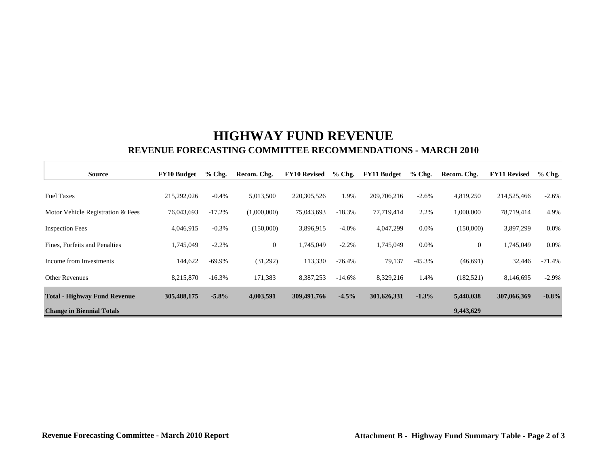## **HIGHWAY FUND REVENUE REVENUE FORECASTING COMMITTEE RECOMMENDATIONS - MARCH 2010**

| <b>Source</b>                       | <b>FY10 Budget</b> | $%$ Chg. | Recom. Chg.  | <b>FY10 Revised</b> | $%$ Chg. | <b>FY11 Budget</b> | $%$ Chg. | Recom. Chg.  | <b>FY11 Revised</b> | $%$ Chg. |
|-------------------------------------|--------------------|----------|--------------|---------------------|----------|--------------------|----------|--------------|---------------------|----------|
| <b>Fuel Taxes</b>                   | 215,292,026        | $-0.4%$  | 5,013,500    | 220, 305, 526       | 1.9%     | 209,706,216        | $-2.6%$  | 4,819,250    | 214,525,466         | $-2.6%$  |
| Motor Vehicle Registration & Fees   | 76,043,693         | $-17.2%$ | (1,000,000)  | 75,043,693          | $-18.3%$ | 77,719,414         | 2.2%     | 1,000,000    | 78,719,414          | 4.9%     |
| <b>Inspection Fees</b>              | 4,046,915          | $-0.3%$  | (150,000)    | 3,896,915           | $-4.0\%$ | 4,047,299          | $0.0\%$  | (150,000)    | 3,897,299           | 0.0%     |
| Fines, Forfeits and Penalties       | 1,745,049          | $-2.2%$  | $\mathbf{0}$ | 1,745,049           | $-2.2%$  | 1,745,049          | $0.0\%$  | $\mathbf{0}$ | 1,745,049           | 0.0%     |
| Income from Investments             | 144,622            | $-69.9%$ | (31,292)     | 113,330             | $-76.4%$ | 79,137             | $-45.3%$ | (46, 691)    | 32,446              | $-71.4%$ |
| <b>Other Revenues</b>               | 8,215,870          | $-16.3%$ | 171,383      | 8,387,253           | $-14.6%$ | 8,329,216          | 1.4%     | (182, 521)   | 8,146,695           | $-2.9%$  |
| <b>Total - Highway Fund Revenue</b> | 305,488,175        | $-5.8\%$ | 4,003,591    | 309,491,766         | $-4.5%$  | 301,626,331        | $-1.3%$  | 5,440,038    | 307,066,369         | $-0.8%$  |
| <b>Change in Biennial Totals</b>    |                    |          |              |                     |          |                    |          | 9,443,629    |                     |          |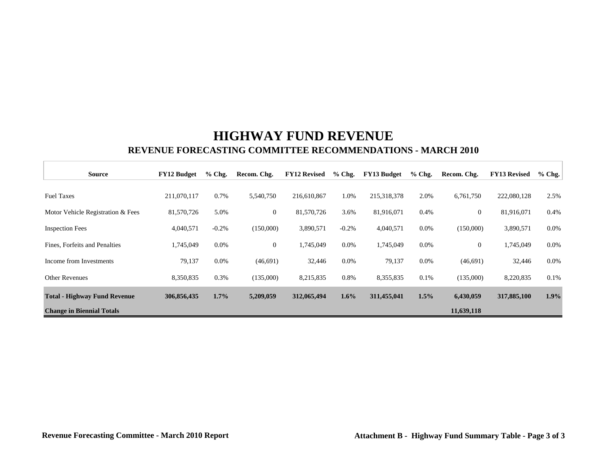# **HIGHWAY FUND REVENUE REVENUE FORECASTING COMMITTEE RECOMMENDATIONS - MARCH 2010**

| Source                              | <b>FY12 Budget</b> | $%$ Chg. | Recom. Chg.    | <b>FY12 Revised</b> | $%$ Chg. | <b>FY13 Budget</b> | $%$ Chg. | Recom. Chg.      | <b>FY13 Revised</b> | $%$ Chg. |
|-------------------------------------|--------------------|----------|----------------|---------------------|----------|--------------------|----------|------------------|---------------------|----------|
|                                     |                    |          |                |                     |          |                    |          |                  |                     |          |
| <b>Fuel Taxes</b>                   | 211,070,117        | 0.7%     | 5,540,750      | 216,610,867         | 1.0%     | 215,318,378        | 2.0%     | 6,761,750        | 222,080,128         | 2.5%     |
| Motor Vehicle Registration & Fees   | 81,570,726         | 5.0%     | $\mathbf{0}$   | 81,570,726          | 3.6%     | 81,916,071         | 0.4%     | $\boldsymbol{0}$ | 81,916,071          | 0.4%     |
| <b>Inspection Fees</b>              | 4,040,571          | $-0.2%$  | (150,000)      | 3,890,571           | $-0.2%$  | 4,040,571          | $0.0\%$  | (150,000)        | 3,890,571           | $0.0\%$  |
| Fines, Forfeits and Penalties       | 1,745,049          | 0.0%     | $\overline{0}$ | 1,745,049           | 0.0%     | 1,745,049          | $0.0\%$  | $\overline{0}$   | 1,745,049           | $0.0\%$  |
| Income from Investments             | 79,137             | 0.0%     | (46,691)       | 32,446              | 0.0%     | 79,137             | $0.0\%$  | (46,691)         | 32,446              | $0.0\%$  |
| <b>Other Revenues</b>               | 8,350,835          | 0.3%     | (135,000)      | 8,215,835           | 0.8%     | 8,355,835          | 0.1%     | (135,000)        | 8,220,835           | 0.1%     |
| <b>Total - Highway Fund Revenue</b> | 306,856,435        | $1.7\%$  | 5,209,059      | 312,065,494         | $1.6\%$  | 311,455,041        | $1.5\%$  | 6,430,059        | 317,885,100         | $1.9\%$  |
| <b>Change in Biennial Totals</b>    |                    |          |                |                     |          |                    |          | 11,639,118       |                     |          |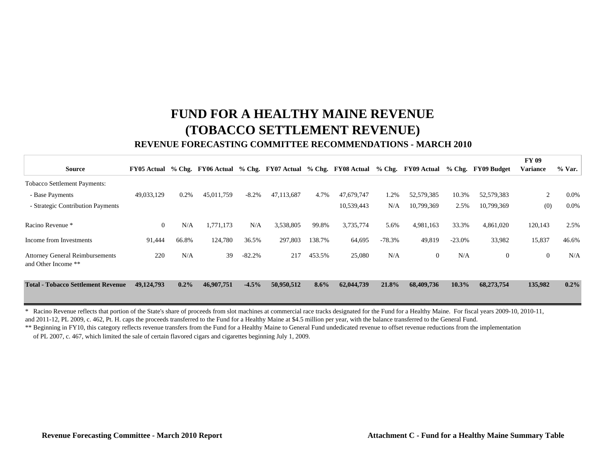# **FUND FOR A HEALTHY MAINE REVENUE(TOBACCO SETTLEMENT REVENUE) REVENUE FORECASTING COMMITTEE RECOMMENDATIONS - MARCH 2010**

|                                                               |                |         |            |           |            |         |                                                                                                            |          |            |          |                | <b>FY 09</b>    |         |
|---------------------------------------------------------------|----------------|---------|------------|-----------|------------|---------|------------------------------------------------------------------------------------------------------------|----------|------------|----------|----------------|-----------------|---------|
| <b>Source</b>                                                 |                |         |            |           |            |         | FY05 Actual % Chg. FY06 Actual % Chg. FY07 Actual % Chg. FY08 Actual % Chg. FY09 Actual % Chg. FY09 Budget |          |            |          |                | <b>Variance</b> | % Var.  |
| <b>Tobacco Settlement Payments:</b>                           |                |         |            |           |            |         |                                                                                                            |          |            |          |                |                 |         |
| - Base Payments                                               | 49,033,129     | 0.2%    | 45,011,759 | $-8.2\%$  | 47,113,687 | 4.7%    | 47,679,747                                                                                                 | 1.2%     | 52,579,385 | 10.3%    | 52,579,383     | 2               | $0.0\%$ |
| - Strategic Contribution Payments                             |                |         |            |           |            |         | 10,539,443                                                                                                 | N/A      | 10,799,369 | 2.5%     | 10,799,369     | (0)             | $0.0\%$ |
| Racino Revenue *                                              | $\overline{0}$ | N/A     | 1,771,173  | N/A       | 3,538,805  | 99.8%   | 3,735,774                                                                                                  | 5.6%     | 4,981,163  | 33.3%    | 4,861,020      | 120,143         | 2.5%    |
| Income from Investments                                       | 91,444         | 66.8%   | 124,780    | 36.5%     | 297,803    | 138.7%  | 64,695                                                                                                     | $-78.3%$ | 49,819     | $-23.0%$ | 33,982         | 15,837          | 46.6%   |
| <b>Attorney General Reimbursements</b><br>and Other Income ** | 220            | N/A     | 39         | $-82.2\%$ | 217        | 453.5%  | 25,080                                                                                                     | N/A      | $\Omega$   | N/A      | $\overline{0}$ | $\overline{0}$  | N/A     |
| <b>Total - Tobacco Settlement Revenue</b>                     | 49,124,793     | $0.2\%$ | 46,907,751 | $-4.5%$   | 50,950,512 | $8.6\%$ | 62,044,739                                                                                                 | 21.8%    | 68,409,736 | 10.3%    | 68,273,754     | 135,982         | $0.2\%$ |

\* Racino Revenue reflects that portion of the State's share of proceeds from slot machines at commercial race tracks designated for the Fund for a Healthy Maine. For fiscal years 2009-10, 2010-11, and 2011-12, PL 2009, c. 462, Pt. H. caps the proceeds transferred to the Fund for a Healthy Maine at \$4.5 million per year, with the balance transferred to the General Fund.

\*\* Beginning in FY10, this category reflects revenue transfers from the Fund for a Healthy Maine to General Fund undedicated revenue to offset revenue reductions from the implementation of PL 2007, c. 467, which limited the sale of certain flavored cigars and cigarettes beginning July 1, 2009.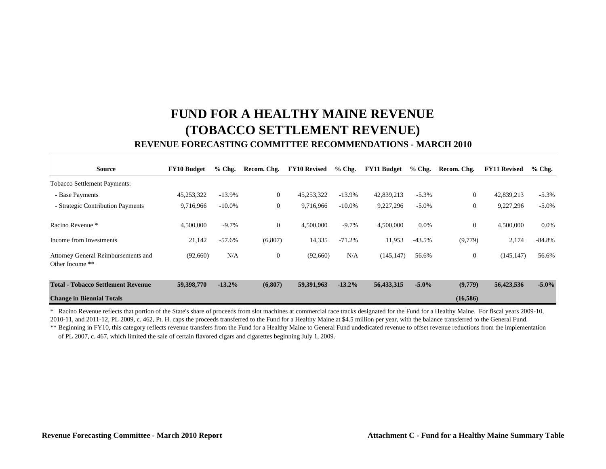# **FUND FOR A HEALTHY MAINE REVENUE(TOBACCO SETTLEMENT REVENUE) REVENUE FORECASTING COMMITTEE RECOMMENDATIONS - MARCH 2010**

| <b>Source</b>                                          | <b>FY10 Budget</b> | $%$ Chg.  | Recom. Chg.    | <b>FY10 Revised</b> | $%$ Chg.  | <b>FY11 Budget</b> | $%$ Chg. | Recom. Chg.    | <b>FY11 Revised</b> | $%$ Chg. |
|--------------------------------------------------------|--------------------|-----------|----------------|---------------------|-----------|--------------------|----------|----------------|---------------------|----------|
| <b>Tobacco Settlement Payments:</b>                    |                    |           |                |                     |           |                    |          |                |                     |          |
| - Base Payments                                        | 45,253,322         | $-13.9%$  | $\overline{0}$ | 45,253,322          | $-13.9%$  | 42,839,213         | $-5.3%$  | $\overline{0}$ | 42,839,213          | $-5.3%$  |
| - Strategic Contribution Payments                      | 9,716,966          | $-10.0\%$ | $\overline{0}$ | 9,716,966           | $-10.0\%$ | 9,227,296          | $-5.0%$  | $\mathbf{0}$   | 9,227,296           | $-5.0\%$ |
| Racino Revenue *                                       | 4,500,000          | $-9.7%$   | $\overline{0}$ | 4,500,000           | $-9.7%$   | 4,500,000          | 0.0%     | $\theta$       | 4,500,000           | $0.0\%$  |
| Income from Investments                                | 21,142             | $-57.6%$  | (6,807)        | 14,335              | $-71.2%$  | 11,953             | $-43.5%$ | (9,779)        | 2,174               | $-84.8%$ |
| Attorney General Reimbursements and<br>Other Income ** | (92,660)           | N/A       | $\overline{0}$ | (92,660)            | N/A       | (145, 147)         | 56.6%    | $\theta$       | (145, 147)          | 56.6%    |
| <b>Total - Tobacco Settlement Revenue</b>              | 59,398,770         | $-13.2%$  | (6,807)        | 59,391,963          | $-13.2\%$ | 56,433,315         | $-5.0\%$ | (9,779)        | 56,423,536          | $-5.0\%$ |
| <b>Change in Biennial Totals</b>                       |                    |           |                |                     |           |                    |          | (16,586)       |                     |          |

\*\* Beginning in FY10, this category reflects revenue transfers from the Fund for a Healthy Maine to General Fund undedicated revenue to offset revenue reductions from the implementation \* Racino Revenue reflects that portion of the State's share of proceeds from slot machines at commercial race tracks designated for the Fund for a Healthy Maine. For fiscal years 2009-10, 2010-11, and 2011-12, PL 2009, c. 462, Pt. H. caps the proceeds transferred to the Fund for a Healthy Maine at \$4.5 million per year, with the balance transferred to the General Fund.

of PL 2007, c. 467, which limited the sale of certain flavored cigars and cigarettes beginning July 1, 2009.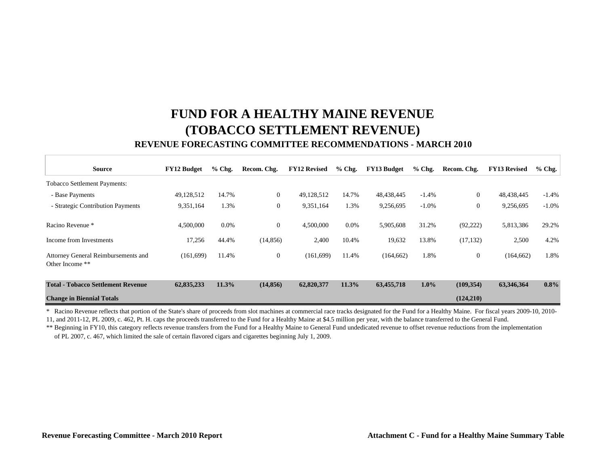# **FUND FOR A HEALTHY MAINE REVENUE(TOBACCO SETTLEMENT REVENUE) REVENUE FORECASTING COMMITTEE RECOMMENDATIONS - MARCH 2010**

| <b>Source</b>                                          | <b>FY12 Budget</b> | $%$ Chg. | Recom. Chg.    | <b>FY12 Revised</b> | $%$ Chg. | FY13 Budget | $%$ Chg. | Recom. Chg.    | <b>FY13 Revised</b> | $%$ Chg. |
|--------------------------------------------------------|--------------------|----------|----------------|---------------------|----------|-------------|----------|----------------|---------------------|----------|
| <b>Tobacco Settlement Payments:</b>                    |                    |          |                |                     |          |             |          |                |                     |          |
| - Base Payments                                        | 49,128,512         | 14.7%    | $\mathbf{0}$   | 49,128,512          | 14.7%    | 48,438,445  | $-1.4%$  | $\overline{0}$ | 48,438,445          | $-1.4%$  |
| - Strategic Contribution Payments                      | 9,351,164          | 1.3%     | $\mathbf{0}$   | 9,351,164           | 1.3%     | 9,256,695   | $-1.0%$  | $\overline{0}$ | 9,256,695           | $-1.0%$  |
| Racino Revenue *                                       | 4,500,000          | $0.0\%$  | $\overline{0}$ | 4,500,000           | $0.0\%$  | 5,905,608   | 31.2%    | (92, 222)      | 5,813,386           | 29.2%    |
| Income from Investments                                | 17,256             | 44.4%    | (14, 856)      | 2,400               | 10.4%    | 19,632      | 13.8%    | (17, 132)      | 2,500               | 4.2%     |
| Attorney General Reimbursements and<br>Other Income ** | (161,699)          | 11.4%    | $\overline{0}$ | (161, 699)          | 11.4%    | (164, 662)  | 1.8%     | $\overline{0}$ | (164, 662)          | 1.8%     |
| <b>Total - Tobacco Settlement Revenue</b>              | 62,835,233         | 11.3%    | (14, 856)      | 62,820,377          | 11.3%    | 63,455,718  | $1.0\%$  | (109, 354)     | 63,346,364          | 0.8%     |
| <b>Change in Biennial Totals</b>                       |                    |          |                |                     |          |             |          | (124,210)      |                     |          |

\* Racino Revenue reflects that portion of the State's share of proceeds from slot machines at commercial race tracks designated for the Fund for a Healthy Maine. For fiscal years 2009-10, 2010-

11, and 2011-12, PL 2009, c. 462, Pt. H. caps the proceeds transferred to the Fund for a Healthy Maine at \$4.5 million per year, with the balance transferred to the General Fund.

\*\* Beginning in FY10, this category reflects revenue transfers from the Fund for a Healthy Maine to General Fund undedicated revenue to offset revenue reductions from the implementation of PL 2007, c. 467, which limited the sale of certain flavored cigars and cigarettes beginning July 1, 2009.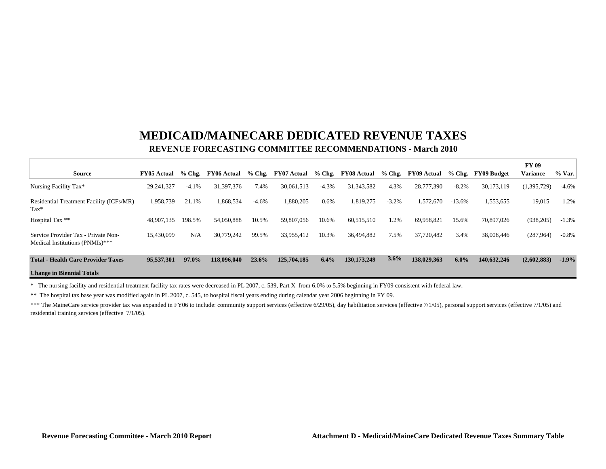## **MEDICAID/MAINECARE DEDICATED REVENUE TAXESREVENUE FORECASTING COMMITTEE RECOMMENDATIONS - March 2010**

|                                                                        |                    |          |             |         |                    |          |                    |         |                    |          |             | <b>FY 09</b>    |          |
|------------------------------------------------------------------------|--------------------|----------|-------------|---------|--------------------|----------|--------------------|---------|--------------------|----------|-------------|-----------------|----------|
| <b>Source</b>                                                          | <b>FY05 Actual</b> | $%$ Chg. | FY06 Actual |         | % Chg. FY07 Actual | $%$ Chg. | <b>FY08 Actual</b> |         | % Chg. FY09 Actual | % Chg.   | FY09 Budget | <b>Variance</b> | $%$ Var. |
| Nursing Facility Tax*                                                  | 29, 241, 327       | $-4.1%$  | 31,397,376  | 7.4%    | 30,061,513         | $-4.3%$  | 31, 343, 582       | 4.3%    | 28,777,390         | $-8.2%$  | 30,173,119  | (1, 395, 729)   | $-4.6%$  |
| Residential Treatment Facility (ICFs/MR)<br>$\text{Tax*}$              | 1,958,739          | 21.1%    | 1,868,534   | $-4.6%$ | 1,880,205          | 0.6%     | 1,819,275          | $-3.2%$ | 1,572,670          | $-13.6%$ | 1,553,655   | 19,015          | 1.2%     |
| Hospital Tax **                                                        | 48,907,135         | 198.5%   | 54,050,888  | 10.5%   | 59,807,056         | 10.6%    | 60,515,510         | 1.2%    | 69,958,821         | 15.6%    | 70,897,026  | (938, 205)      | $-1.3%$  |
| Service Provider Tax - Private Non-<br>Medical Institutions (PNMIs)*** | 15.430.099         | N/A      | 30.779.242  | 99.5%   | 33.955.412         | 10.3%    | 36,494,882         | 7.5%    | 37,720,482         | 3.4%     | 38,008,446  | (287,964)       | $-0.8%$  |
| <b>Total - Health Care Provider Taxes</b>                              | 95,537,301         | 97.0%    | 118,096,040 | 23.6%   | 125,704,185        | 6.4%     | 130, 173, 249      | 3.6%    | 138,029,363        | 6.0%     | 140,632,246 | (2,602,883)     | $-1.9%$  |
| <b>Change in Biennial Totals</b>                                       |                    |          |             |         |                    |          |                    |         |                    |          |             |                 |          |

\* The nursing facility and residential treatment facility tax rates were decreased in PL 2007, c. 539, Part X from 6.0% to 5.5% beginning in FY09 consistent with federal law.

\*\* The hospital tax base year was modified again in PL 2007, c. 545, to hospital fiscal years ending during calendar year 2006 beginning in FY 09.

\*\*\* The MaineCare service provider tax was expanded in FY06 to include: community support services (effective 6/29/05), day habilitation services (effective 7/1/05), personal support services (effective 7/1/05) and residential training services (effective 7/1/05).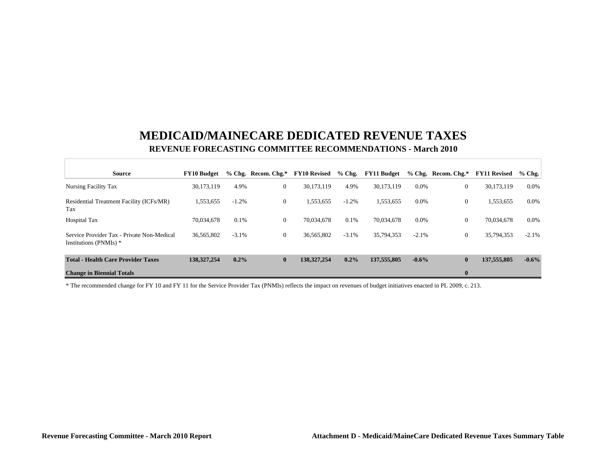## **MEDICAID/MAINECARE DEDICATED REVENUE TAXESREVENUE FORECASTING COMMITTEE RECOMMENDATIONS - March 2010**

| <b>Source</b>                                                        | <b>FY10 Budget</b> |         | $%$ Chg. Recom. Chg. $*$ | <b>FY10 Revised</b> | $%$ Chg. | <b>FY11 Budget</b> |         | % Chg. Recom. Chg.* | <b>FY11 Revised</b> | $%$ Chg. |
|----------------------------------------------------------------------|--------------------|---------|--------------------------|---------------------|----------|--------------------|---------|---------------------|---------------------|----------|
| Nursing Facility Tax                                                 | 30,173,119         | 4.9%    | $\boldsymbol{0}$         | 30,173,119          | 4.9%     | 30,173,119         | $0.0\%$ | $\mathbf{0}$        | 30,173,119          | $0.0\%$  |
| Residential Treatment Facility (ICFs/MR)<br>Tax                      | 1,553,655          | $-1.2%$ | $\boldsymbol{0}$         | 1.553.655           | $-1.2%$  | 1,553,655          | 0.0%    | 0                   | 1,553,655           | $0.0\%$  |
| <b>Hospital Tax</b>                                                  | 70.034.678         | $0.1\%$ | $\boldsymbol{0}$         | 70.034.678          | 0.1%     | 70.034.678         | 0.0%    | $\Omega$            | 70.034.678          | $0.0\%$  |
| Service Provider Tax - Private Non-Medical<br>Institutions (PNMIs) * | 36,565,802         | $-3.1%$ | $\boldsymbol{0}$         | 36,565,802          | $-3.1%$  | 35,794,353         | $-2.1%$ | $\theta$            | 35,794,353          | $-2.1%$  |
| <b>Total - Health Care Provider Taxes</b>                            | 138, 327, 254      | $0.2\%$ | $\bf{0}$                 | 138,327,254         | 0.2%     | 137,555,805        | $-0.6%$ | $\mathbf{0}$        | 137,555,805         | $-0.6%$  |
| <b>Change in Biennial Totals</b>                                     |                    |         |                          |                     |          |                    |         | $\mathbf{0}$        |                     |          |

\* The recommended change for FY 10 and FY 11 for the Service Provider Tax (PNMIs) reflects the impact on revenues of budget initiatives enacted in PL 2009, c. 213.